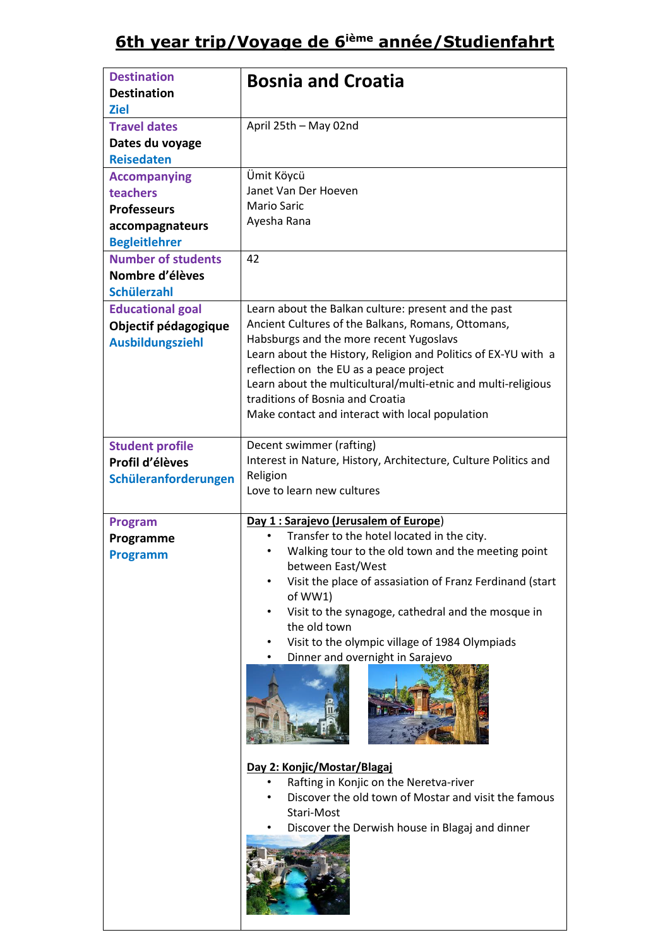| <b>Destination</b><br><b>Destination</b><br><b>Ziel</b>                                                                                                                | <b>Bosnia and Croatia</b>                                                                                                                                                                                                                                                                                                                                                                                                                                                                                                                                                                                                      |
|------------------------------------------------------------------------------------------------------------------------------------------------------------------------|--------------------------------------------------------------------------------------------------------------------------------------------------------------------------------------------------------------------------------------------------------------------------------------------------------------------------------------------------------------------------------------------------------------------------------------------------------------------------------------------------------------------------------------------------------------------------------------------------------------------------------|
| <b>Travel dates</b><br>Dates du voyage<br><b>Reisedaten</b>                                                                                                            | April 25th - May 02nd                                                                                                                                                                                                                                                                                                                                                                                                                                                                                                                                                                                                          |
| <b>Accompanying</b><br>teachers<br><b>Professeurs</b><br>accompagnateurs<br><b>Begleitlehrer</b><br><b>Number of students</b><br>Nombre d'élèves<br><b>Schülerzahl</b> | Ümit Köycü<br>Janet Van Der Hoeven<br><b>Mario Saric</b><br>Ayesha Rana<br>42                                                                                                                                                                                                                                                                                                                                                                                                                                                                                                                                                  |
| <b>Educational goal</b><br>Objectif pédagogique<br><b>Ausbildungsziehl</b>                                                                                             | Learn about the Balkan culture: present and the past<br>Ancient Cultures of the Balkans, Romans, Ottomans,<br>Habsburgs and the more recent Yugoslavs<br>Learn about the History, Religion and Politics of EX-YU with a<br>reflection on the EU as a peace project<br>Learn about the multicultural/multi-etnic and multi-religious<br>traditions of Bosnia and Croatia<br>Make contact and interact with local population                                                                                                                                                                                                     |
| <b>Student profile</b><br>Profil d'élèves<br>Schüleranforderungen                                                                                                      | Decent swimmer (rafting)<br>Interest in Nature, History, Architecture, Culture Politics and<br>Religion<br>Love to learn new cultures                                                                                                                                                                                                                                                                                                                                                                                                                                                                                          |
| <b>Program</b><br>Programme<br><b>Programm</b>                                                                                                                         | Day 1 : Sarajevo (Jerusalem of Europe)<br>Transfer to the hotel located in the city.<br>$\bullet$<br>Walking tour to the old town and the meeting point<br>$\bullet$<br>between East/West<br>Visit the place of assasiation of Franz Ferdinand (start<br>of WW1)<br>Visit to the synagoge, cathedral and the mosque in<br>the old town<br>Visit to the olympic village of 1984 Olympiads<br>Dinner and overnight in Sarajevo<br>Day 2: Konjic/Mostar/Blagaj<br>Rafting in Konjic on the Neretva-river<br>Discover the old town of Mostar and visit the famous<br>Stari-Most<br>Discover the Derwish house in Blagaj and dinner |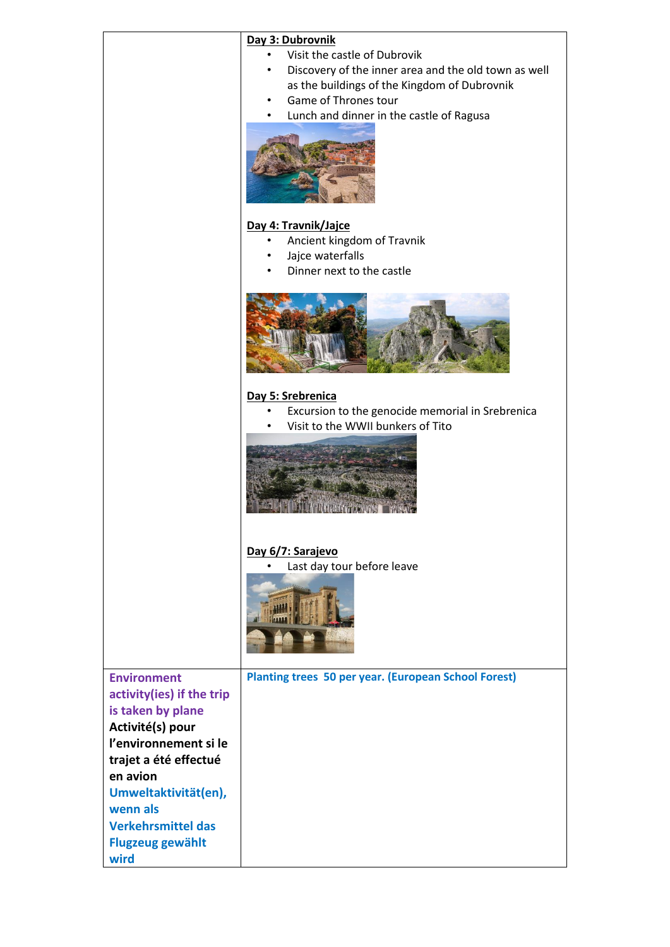|                                                                                                                                                                                | Day 3: Dubrovnik<br>Visit the castle of Dubrovik<br>Discovery of the inner area and the old town as well<br>as the buildings of the Kingdom of Dubrovnik<br>Game of Thrones tour<br>Lunch and dinner in the castle of Ragusa |
|--------------------------------------------------------------------------------------------------------------------------------------------------------------------------------|------------------------------------------------------------------------------------------------------------------------------------------------------------------------------------------------------------------------------|
|                                                                                                                                                                                | Day 4: Travnik/Jajce<br>Ancient kingdom of Travnik<br>Jajce waterfalls<br>Dinner next to the castle                                                                                                                          |
|                                                                                                                                                                                | Day 5: Srebrenica                                                                                                                                                                                                            |
|                                                                                                                                                                                | Excursion to the genocide memorial in Srebrenica<br>Visit to the WWII bunkers of Tito                                                                                                                                        |
|                                                                                                                                                                                | Day 6/7: Sarajevo<br>Last day tour before leave                                                                                                                                                                              |
| <b>Environment</b><br>activity(ies) if the trip<br>is taken by plane<br>Activité(s) pour<br>l'environnement si le<br>trajet a été effectué<br>en avion<br>Umweltaktivität(en), | <b>Planting trees 50 per year. (European School Forest)</b>                                                                                                                                                                  |
| wenn als<br><b>Verkehrsmittel das</b><br><b>Flugzeug gewählt</b><br>wird                                                                                                       |                                                                                                                                                                                                                              |